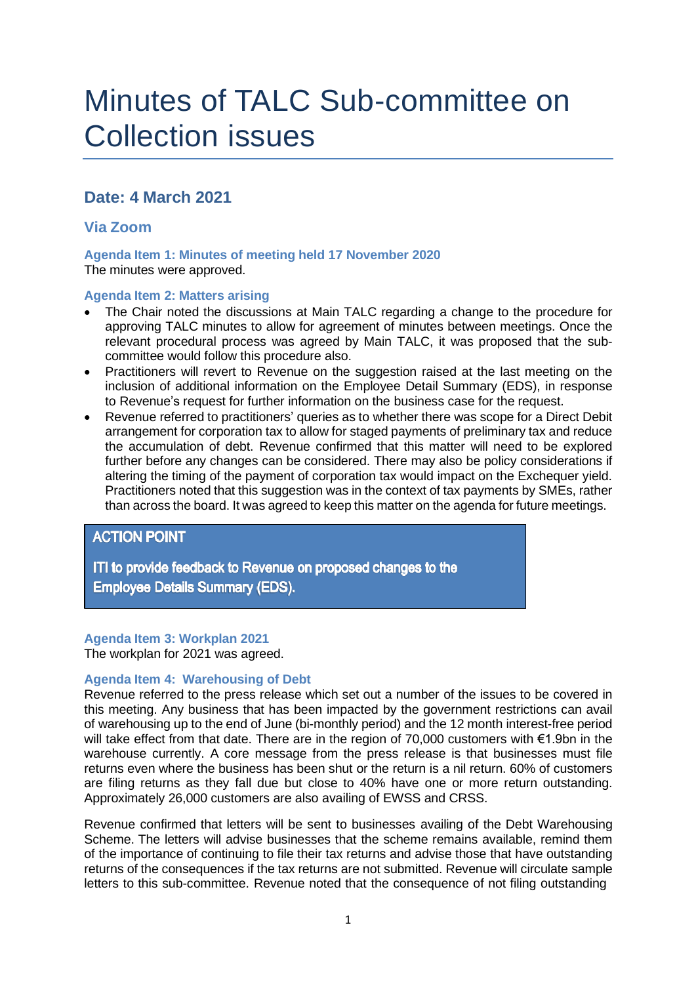# Minutes of TALC Sub-committee on Collection issues

# **Date: 4 March 2021**

# **Via Zoom**

**Agenda Item 1: Minutes of meeting held 17 November 2020** The minutes were approved.

# **Agenda Item 2: Matters arising**

- The Chair noted the discussions at Main TALC regarding a change to the procedure for approving TALC minutes to allow for agreement of minutes between meetings. Once the relevant procedural process was agreed by Main TALC, it was proposed that the subcommittee would follow this procedure also.
- Practitioners will revert to Revenue on the suggestion raised at the last meeting on the inclusion of additional information on the Employee Detail Summary (EDS), in response to Revenue's request for further information on the business case for the request.
- Revenue referred to practitioners' queries as to whether there was scope for a Direct Debit arrangement for corporation tax to allow for staged payments of preliminary tax and reduce the accumulation of debt. Revenue confirmed that this matter will need to be explored further before any changes can be considered. There may also be policy considerations if altering the timing of the payment of corporation tax would impact on the Exchequer yield. Practitioners noted that this suggestion was in the context of tax payments by SMEs, rather than across the board. It was agreed to keep this matter on the agenda for future meetings.

# **ACTION POINT**

ITI to provide feedback to Revenue on proposed changes to the **Employee Details Summary (EDS).** 

# **Agenda Item 3: Workplan 2021** The workplan for 2021 was agreed.

# **Agenda Item 4: Warehousing of Debt**

Revenue referred to the press release which set out a number of the issues to be covered in this meeting. Any business that has been impacted by the government restrictions can avail of warehousing up to the end of June (bi-monthly period) and the 12 month interest-free period will take effect from that date. There are in the region of 70,000 customers with €1.9bn in the warehouse currently. A core message from the press release is that businesses must file returns even where the business has been shut or the return is a nil return. 60% of customers are filing returns as they fall due but close to 40% have one or more return outstanding. Approximately 26,000 customers are also availing of EWSS and CRSS.

Revenue confirmed that letters will be sent to businesses availing of the Debt Warehousing Scheme. The letters will advise businesses that the scheme remains available, remind them of the importance of continuing to file their tax returns and advise those that have outstanding returns of the consequences if the tax returns are not submitted. Revenue will circulate sample letters to this sub-committee. Revenue noted that the consequence of not filing outstanding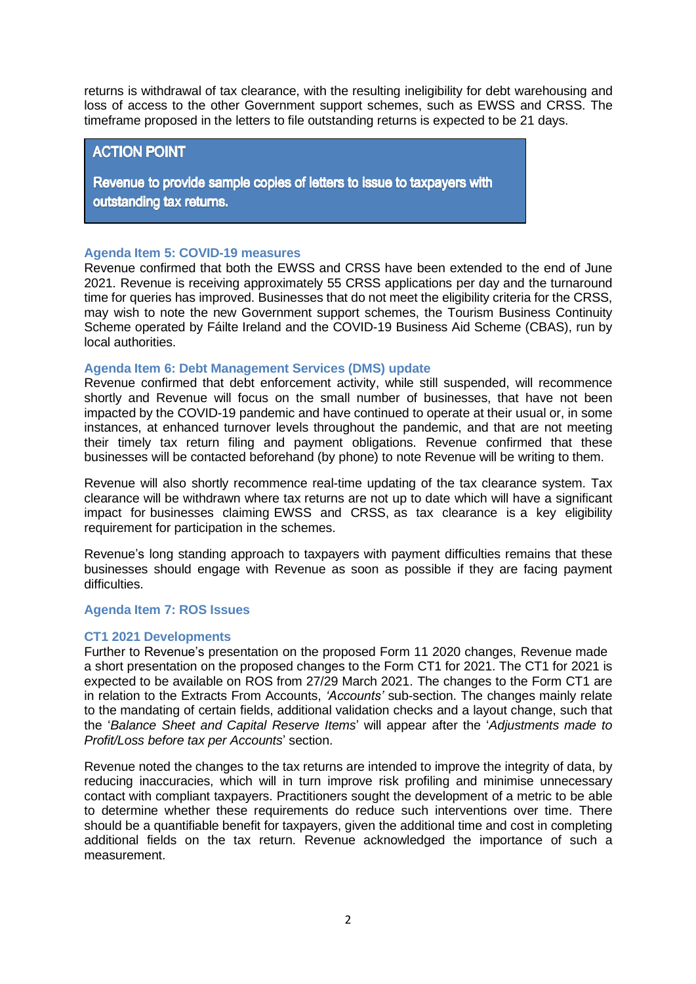returns is withdrawal of tax clearance, with the resulting ineligibility for debt warehousing and loss of access to the other Government support schemes, such as EWSS and CRSS. The timeframe proposed in the letters to file outstanding returns is expected to be 21 days.

# **ACTION POINT**

Revenue to provide sample copies of letters to issue to taxpayers with outstanding tax returns.

# **Agenda Item 5: COVID-19 measures**

Revenue confirmed that both the EWSS and CRSS have been extended to the end of June 2021. Revenue is receiving approximately 55 CRSS applications per day and the turnaround time for queries has improved. Businesses that do not meet the eligibility criteria for the CRSS, may wish to note the new Government support schemes, the Tourism Business Continuity Scheme operated by Fáilte Ireland and the COVID-19 Business Aid Scheme (CBAS), run by local authorities.

# **Agenda Item 6: Debt Management Services (DMS) update**

Revenue confirmed that debt enforcement activity, while still suspended, will recommence shortly and Revenue will focus on the small number of businesses, that have not been impacted by the COVID-19 pandemic and have continued to operate at their usual or, in some instances, at enhanced turnover levels throughout the pandemic, and that are not meeting their timely tax return filing and payment obligations. Revenue confirmed that these businesses will be contacted beforehand (by phone) to note Revenue will be writing to them.

Revenue will also shortly recommence real-time updating of the tax clearance system. Tax clearance will be withdrawn where tax returns are not up to date which will have a significant impact for businesses claiming EWSS and CRSS, as tax clearance is a key eligibility requirement for participation in the schemes.

Revenue's long standing approach to taxpayers with payment difficulties remains that these businesses should engage with Revenue as soon as possible if they are facing payment difficulties.

# **Agenda Item 7: ROS Issues**

# **CT1 2021 Developments**

Further to Revenue's presentation on the proposed Form 11 2020 changes, Revenue made a short presentation on the proposed changes to the Form CT1 for 2021. The CT1 for 2021 is expected to be available on ROS from 27/29 March 2021. The changes to the Form CT1 are in relation to the Extracts From Accounts, *'Accounts'* sub-section. The changes mainly relate to the mandating of certain fields, additional validation checks and a layout change, such that the '*Balance Sheet and Capital Reserve Items*' will appear after the '*Adjustments made to Profit/Loss before tax per Accounts*' section.

Revenue noted the changes to the tax returns are intended to improve the integrity of data, by reducing inaccuracies, which will in turn improve risk profiling and minimise unnecessary contact with compliant taxpayers. Practitioners sought the development of a metric to be able to determine whether these requirements do reduce such interventions over time. There should be a quantifiable benefit for taxpayers, given the additional time and cost in completing additional fields on the tax return. Revenue acknowledged the importance of such a measurement.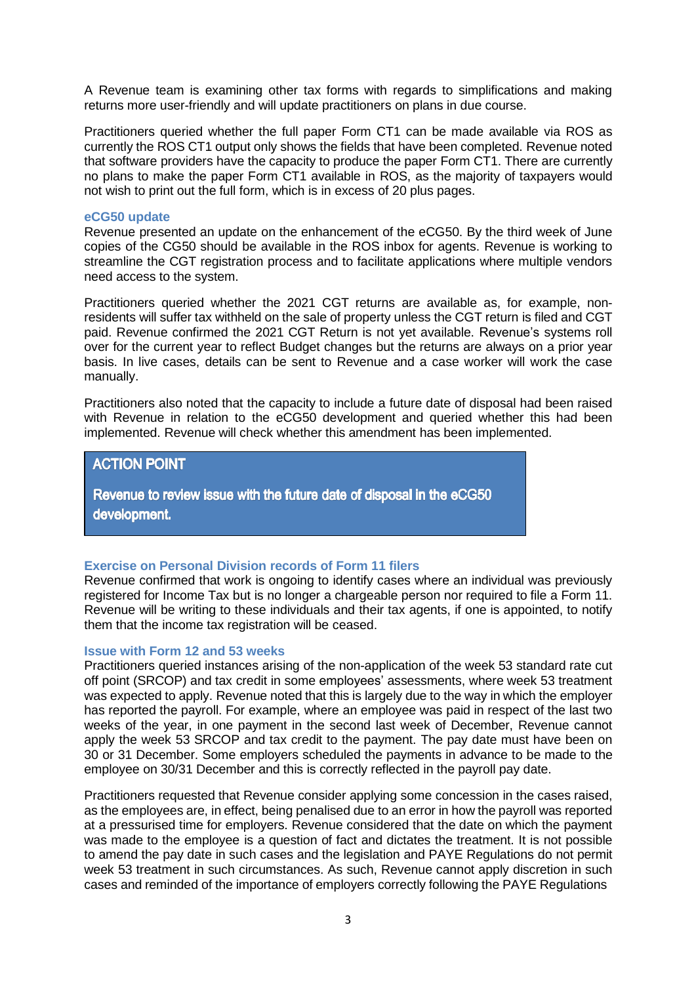A Revenue team is examining other tax forms with regards to simplifications and making returns more user-friendly and will update practitioners on plans in due course.

Practitioners queried whether the full paper Form CT1 can be made available via ROS as currently the ROS CT1 output only shows the fields that have been completed. Revenue noted that software providers have the capacity to produce the paper Form CT1. There are currently no plans to make the paper Form CT1 available in ROS, as the majority of taxpayers would not wish to print out the full form, which is in excess of 20 plus pages.

#### **eCG50 update**

Revenue presented an update on the enhancement of the eCG50. By the third week of June copies of the CG50 should be available in the ROS inbox for agents. Revenue is working to streamline the CGT registration process and to facilitate applications where multiple vendors need access to the system.

Practitioners queried whether the 2021 CGT returns are available as, for example, nonresidents will suffer tax withheld on the sale of property unless the CGT return is filed and CGT paid. Revenue confirmed the 2021 CGT Return is not yet available. Revenue's systems roll over for the current year to reflect Budget changes but the returns are always on a prior year basis. In live cases, details can be sent to Revenue and a case worker will work the case manually.

Practitioners also noted that the capacity to include a future date of disposal had been raised with Revenue in relation to the eCG50 development and queried whether this had been implemented. Revenue will check whether this amendment has been implemented.

# **ACTION POINT**

Revenue to review issue with the future date of disposal in the eCG50 development.

# **Exercise on Personal Division records of Form 11 filers**

Revenue confirmed that work is ongoing to identify cases where an individual was previously registered for Income Tax but is no longer a chargeable person nor required to file a Form 11. Revenue will be writing to these individuals and their tax agents, if one is appointed, to notify them that the income tax registration will be ceased.

# **Issue with Form 12 and 53 weeks**

Practitioners queried instances arising of the non-application of the week 53 standard rate cut off point (SRCOP) and tax credit in some employees' assessments, where week 53 treatment was expected to apply. Revenue noted that this is largely due to the way in which the employer has reported the payroll. For example, where an employee was paid in respect of the last two weeks of the year, in one payment in the second last week of December, Revenue cannot apply the week 53 SRCOP and tax credit to the payment. The pay date must have been on 30 or 31 December. Some employers scheduled the payments in advance to be made to the employee on 30/31 December and this is correctly reflected in the payroll pay date.

Practitioners requested that Revenue consider applying some concession in the cases raised, as the employees are, in effect, being penalised due to an error in how the payroll was reported at a pressurised time for employers. Revenue considered that the date on which the payment was made to the employee is a question of fact and dictates the treatment. It is not possible to amend the pay date in such cases and the legislation and PAYE Regulations do not permit week 53 treatment in such circumstances. As such, Revenue cannot apply discretion in such cases and reminded of the importance of employers correctly following the PAYE Regulations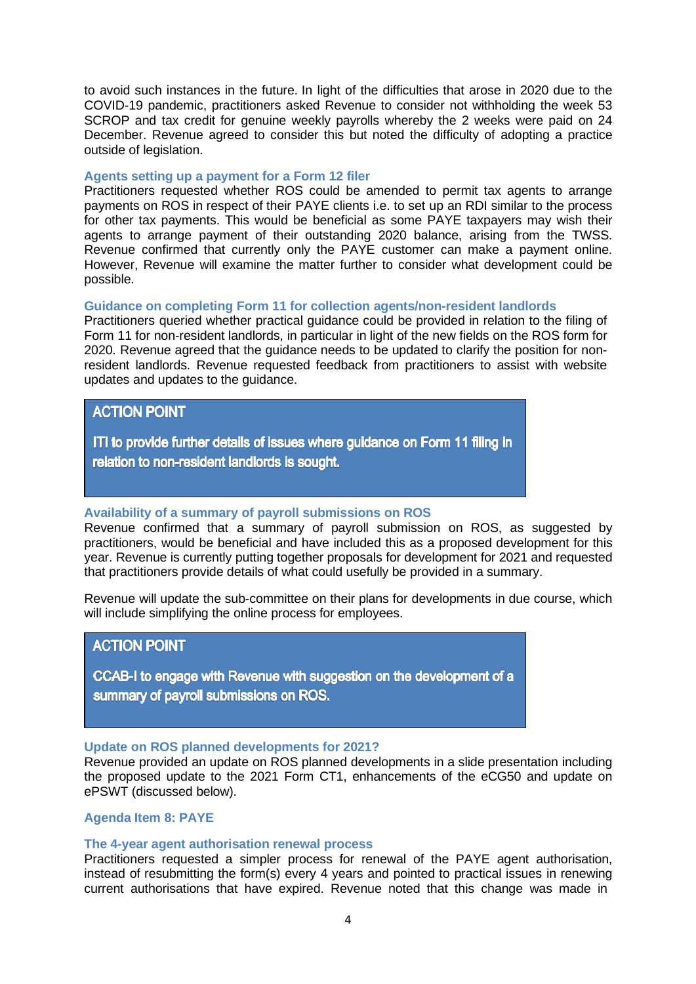to avoid such instances in the future. In light of the difficulties that arose in 2020 due to the COVID-19 pandemic, practitioners asked Revenue to consider not withholding the week 53 SCROP and tax credit for genuine weekly payrolls whereby the 2 weeks were paid on 24 December. Revenue agreed to consider this but noted the difficulty of adopting a practice outside of legislation.

# **Agents setting up a payment for a Form 12 filer**

Practitioners requested whether ROS could be amended to permit tax agents to arrange payments on ROS in respect of their PAYE clients i.e. to set up an RDI similar to the process for other tax payments. This would be beneficial as some PAYE taxpayers may wish their agents to arrange payment of their outstanding 2020 balance, arising from the TWSS. Revenue confirmed that currently only the PAYE customer can make a payment online. However, Revenue will examine the matter further to consider what development could be possible.

# **Guidance on completing Form 11 for collection agents/non-resident landlords**

Practitioners queried whether practical guidance could be provided in relation to the filing of Form 11 for non-resident landlords, in particular in light of the new fields on the ROS form for 2020. Revenue agreed that the guidance needs to be updated to clarify the position for nonresident landlords. Revenue requested feedback from practitioners to assist with website updates and updates to the guidance.

# **ACTION POINT**

ITI to provide further details of issues where guidance on Form 11 filing in relation to non-resident landlords is sought.

# **Availability of a summary of payroll submissions on ROS**

Revenue confirmed that a summary of payroll submission on ROS, as suggested by practitioners, would be beneficial and have included this as a proposed development for this year. Revenue is currently putting together proposals for development for 2021 and requested that practitioners provide details of what could usefully be provided in a summary.

Revenue will update the sub-committee on their plans for developments in due course, which will include simplifying the online process for employees.

# **ACTION POINT**

CCAB-I to engage with Revenue with suggestion on the development of a summary of payroll submissions on ROS.

# **Update on ROS planned developments for 2021?**

Revenue provided an update on ROS planned developments in a slide presentation including the proposed update to the 2021 Form CT1, enhancements of the eCG50 and update on ePSWT (discussed below).

# **Agenda Item 8: PAYE**

# **The 4-year agent authorisation renewal process**

Practitioners requested a simpler process for renewal of the PAYE agent authorisation, instead of resubmitting the form(s) every 4 years and pointed to practical issues in renewing current authorisations that have expired. Revenue noted that this change was made in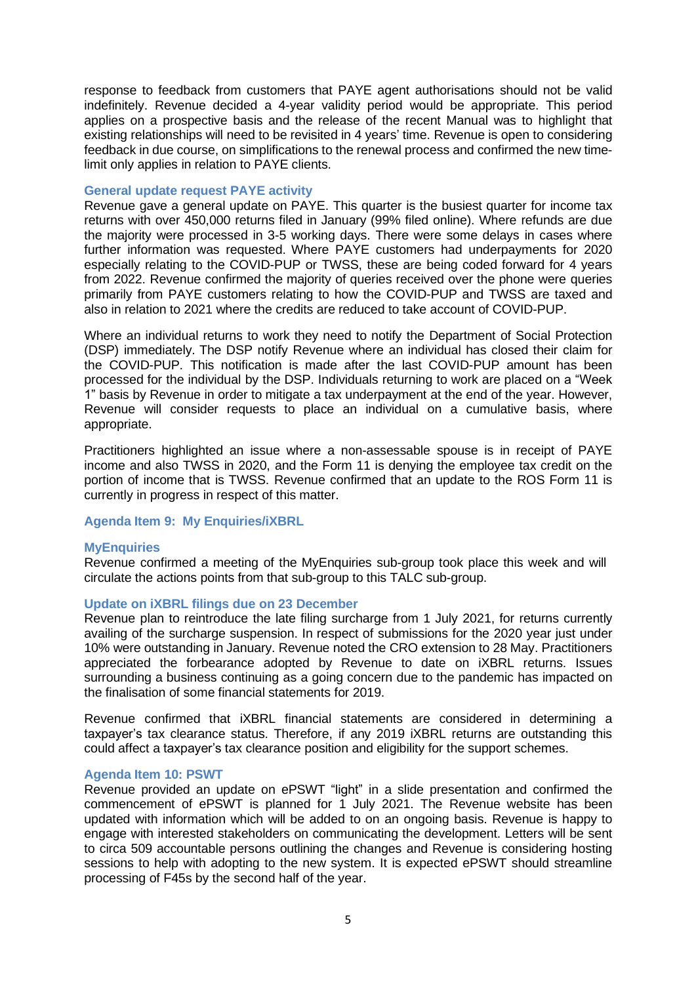response to feedback from customers that PAYE agent authorisations should not be valid indefinitely. Revenue decided a 4-year validity period would be appropriate. This period applies on a prospective basis and the release of the recent Manual was to highlight that existing relationships will need to be revisited in 4 years' time. Revenue is open to considering feedback in due course, on simplifications to the renewal process and confirmed the new timelimit only applies in relation to PAYE clients.

# **General update request PAYE activity**

Revenue gave a general update on PAYE. This quarter is the busiest quarter for income tax returns with over 450,000 returns filed in January (99% filed online). Where refunds are due the majority were processed in 3-5 working days. There were some delays in cases where further information was requested. Where PAYE customers had underpayments for 2020 especially relating to the COVID-PUP or TWSS, these are being coded forward for 4 years from 2022. Revenue confirmed the majority of queries received over the phone were queries primarily from PAYE customers relating to how the COVID-PUP and TWSS are taxed and also in relation to 2021 where the credits are reduced to take account of COVID-PUP.

Where an individual returns to work they need to notify the Department of Social Protection (DSP) immediately. The DSP notify Revenue where an individual has closed their claim for the COVID-PUP. This notification is made after the last COVID-PUP amount has been processed for the individual by the DSP. Individuals returning to work are placed on a "Week 1" basis by Revenue in order to mitigate a tax underpayment at the end of the year. However, Revenue will consider requests to place an individual on a cumulative basis, where appropriate.

Practitioners highlighted an issue where a non-assessable spouse is in receipt of PAYE income and also TWSS in 2020, and the Form 11 is denying the employee tax credit on the portion of income that is TWSS. Revenue confirmed that an update to the ROS Form 11 is currently in progress in respect of this matter.

# **Agenda Item 9: My Enquiries/iXBRL**

# **MyEnquiries**

Revenue confirmed a meeting of the MyEnquiries sub-group took place this week and will circulate the actions points from that sub-group to this TALC sub-group.

# **Update on iXBRL filings due on 23 December**

Revenue plan to reintroduce the late filing surcharge from 1 July 2021, for returns currently availing of the surcharge suspension. In respect of submissions for the 2020 year just under 10% were outstanding in January. Revenue noted the CRO extension to 28 May. Practitioners appreciated the forbearance adopted by Revenue to date on iXBRL returns. Issues surrounding a business continuing as a going concern due to the pandemic has impacted on the finalisation of some financial statements for 2019.

Revenue confirmed that iXBRL financial statements are considered in determining a taxpayer's tax clearance status. Therefore, if any 2019 iXBRL returns are outstanding this could affect a taxpayer's tax clearance position and eligibility for the support schemes.

# **Agenda Item 10: PSWT**

Revenue provided an update on ePSWT "light" in a slide presentation and confirmed the commencement of ePSWT is planned for 1 July 2021. The Revenue website has been updated with information which will be added to on an ongoing basis. Revenue is happy to engage with interested stakeholders on communicating the development. Letters will be sent to circa 509 accountable persons outlining the changes and Revenue is considering hosting sessions to help with adopting to the new system. It is expected ePSWT should streamline processing of F45s by the second half of the year.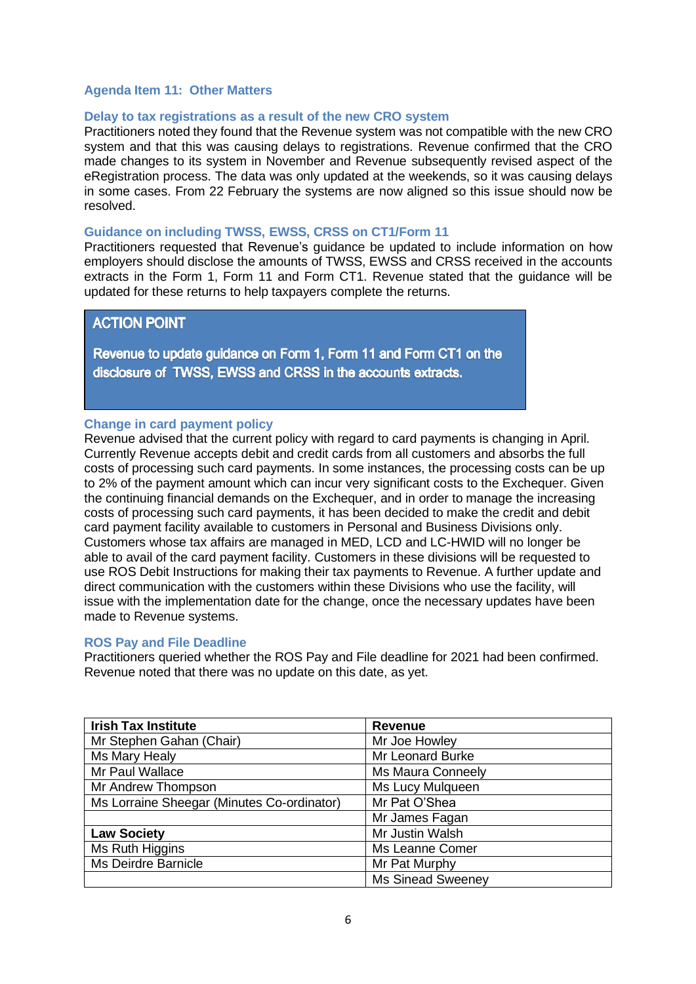# **Agenda Item 11: Other Matters**

#### **Delay to tax registrations as a result of the new CRO system**

Practitioners noted they found that the Revenue system was not compatible with the new CRO system and that this was causing delays to registrations. Revenue confirmed that the CRO made changes to its system in November and Revenue subsequently revised aspect of the eRegistration process. The data was only updated at the weekends, so it was causing delays in some cases. From 22 February the systems are now aligned so this issue should now be resolved.

#### **Guidance on including TWSS, EWSS, CRSS on CT1/Form 11**

Practitioners requested that Revenue's guidance be updated to include information on how employers should disclose the amounts of TWSS, EWSS and CRSS received in the accounts extracts in the Form 1, Form 11 and Form CT1. Revenue stated that the guidance will be updated for these returns to help taxpayers complete the returns.

# **ACTION POINT**

Revenue to update guidance on Form 1, Form 11 and Form CT1 on the disclosure of TWSS. EWSS and CRSS in the accounts extracts.

# **Change in card payment policy**

Revenue advised that the current policy with regard to card payments is changing in April. Currently Revenue accepts debit and credit cards from all customers and absorbs the full costs of processing such card payments. In some instances, the processing costs can be up to 2% of the payment amount which can incur very significant costs to the Exchequer. Given the continuing financial demands on the Exchequer, and in order to manage the increasing costs of processing such card payments, it has been decided to make the credit and debit card payment facility available to customers in Personal and Business Divisions only. Customers whose tax affairs are managed in MED, LCD and LC-HWID will no longer be able to avail of the card payment facility. Customers in these divisions will be requested to use ROS Debit Instructions for making their tax payments to Revenue. A further update and direct communication with the customers within these Divisions who use the facility, will issue with the implementation date for the change, once the necessary updates have been made to Revenue systems.

# **ROS Pay and File Deadline**

Practitioners queried whether the ROS Pay and File deadline for 2021 had been confirmed. Revenue noted that there was no update on this date, as yet.

| <b>Irish Tax Institute</b>                 | <b>Revenue</b>           |
|--------------------------------------------|--------------------------|
| Mr Stephen Gahan (Chair)                   | Mr Joe Howley            |
| Ms Mary Healy                              | Mr Leonard Burke         |
| Mr Paul Wallace                            | <b>Ms Maura Conneely</b> |
| Mr Andrew Thompson                         | Ms Lucy Mulqueen         |
| Ms Lorraine Sheegar (Minutes Co-ordinator) | Mr Pat O'Shea            |
|                                            | Mr James Fagan           |
| <b>Law Society</b>                         | Mr Justin Walsh          |
| Ms Ruth Higgins                            | Ms Leanne Comer          |
| <b>Ms Deirdre Barnicle</b>                 | Mr Pat Murphy            |
|                                            | <b>Ms Sinead Sweeney</b> |